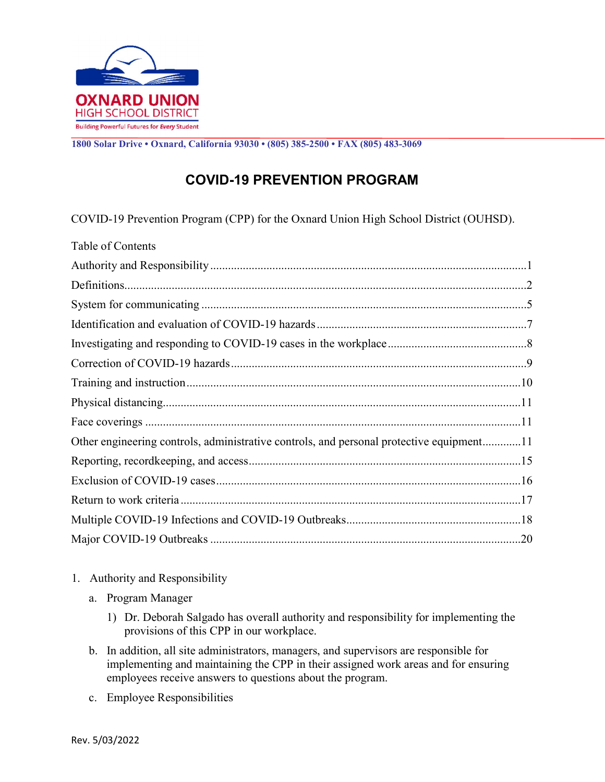

1800 Solar Drive • Oxnard, California 93030 • (805) 385-2500 • FAX (805) 483-3069

## COVID-19 PREVENTION PROGRAM

COVID-19 Prevention Program (CPP) for the Oxnard Union High School District (OUHSD).

| Table of Contents                                                                        |
|------------------------------------------------------------------------------------------|
|                                                                                          |
|                                                                                          |
|                                                                                          |
|                                                                                          |
|                                                                                          |
|                                                                                          |
|                                                                                          |
|                                                                                          |
|                                                                                          |
| Other engineering controls, administrative controls, and personal protective equipment11 |
|                                                                                          |
|                                                                                          |
|                                                                                          |
|                                                                                          |
|                                                                                          |

- 1. Authority and Responsibility
	- a. Program Manager
		- 1) Dr. Deborah Salgado has overall authority and responsibility for implementing the provisions of this CPP in our workplace.
	- b. In addition, all site administrators, managers, and supervisors are responsible for implementing and maintaining the CPP in their assigned work areas and for ensuring employees receive answers to questions about the program.
	- c. Employee Responsibilities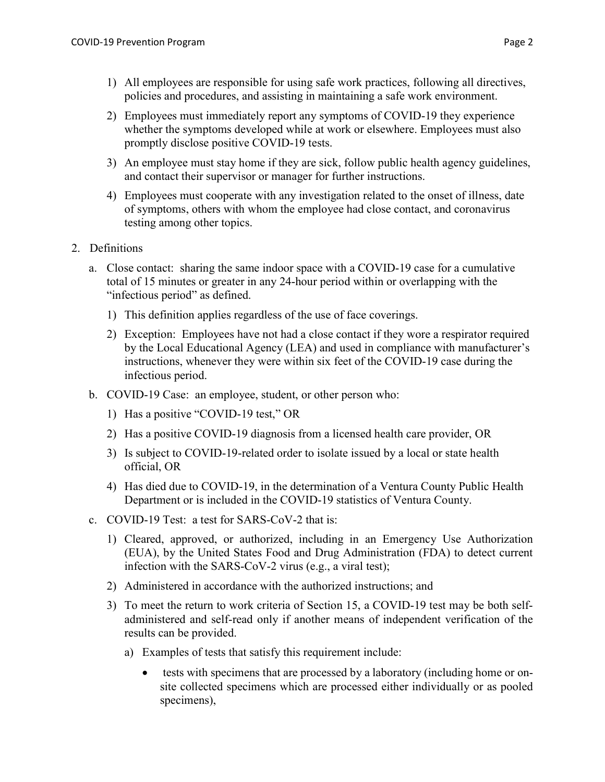- 1) All employees are responsible for using safe work practices, following all directives, policies and procedures, and assisting in maintaining a safe work environment.
- 2) Employees must immediately report any symptoms of COVID-19 they experience whether the symptoms developed while at work or elsewhere. Employees must also promptly disclose positive COVID-19 tests.
- 3) An employee must stay home if they are sick, follow public health agency guidelines, and contact their supervisor or manager for further instructions.
- 4) Employees must cooperate with any investigation related to the onset of illness, date of symptoms, others with whom the employee had close contact, and coronavirus testing among other topics.
- 2. Definitions
	- a. Close contact: sharing the same indoor space with a COVID-19 case for a cumulative total of 15 minutes or greater in any 24-hour period within or overlapping with the "infectious period" as defined.
		- 1) This definition applies regardless of the use of face coverings.
		- 2) Exception: Employees have not had a close contact if they wore a respirator required by the Local Educational Agency (LEA) and used in compliance with manufacturer's instructions, whenever they were within six feet of the COVID-19 case during the infectious period.
	- b. COVID-19 Case: an employee, student, or other person who:
		- 1) Has a positive "COVID-19 test," OR
		- 2) Has a positive COVID-19 diagnosis from a licensed health care provider, OR
		- 3) Is subject to COVID-19-related order to isolate issued by a local or state health official, OR
		- 4) Has died due to COVID-19, in the determination of a Ventura County Public Health Department or is included in the COVID-19 statistics of Ventura County.
	- c. COVID-19 Test: a test for SARS-CoV-2 that is:
		- 1) Cleared, approved, or authorized, including in an Emergency Use Authorization (EUA), by the United States Food and Drug Administration (FDA) to detect current infection with the SARS-CoV-2 virus (e.g., a viral test);
		- 2) Administered in accordance with the authorized instructions; and
		- 3) To meet the return to work criteria of Section 15, a COVID-19 test may be both selfadministered and self-read only if another means of independent verification of the results can be provided.
			- a) Examples of tests that satisfy this requirement include:
				- tests with specimens that are processed by a laboratory (including home or onsite collected specimens which are processed either individually or as pooled specimens),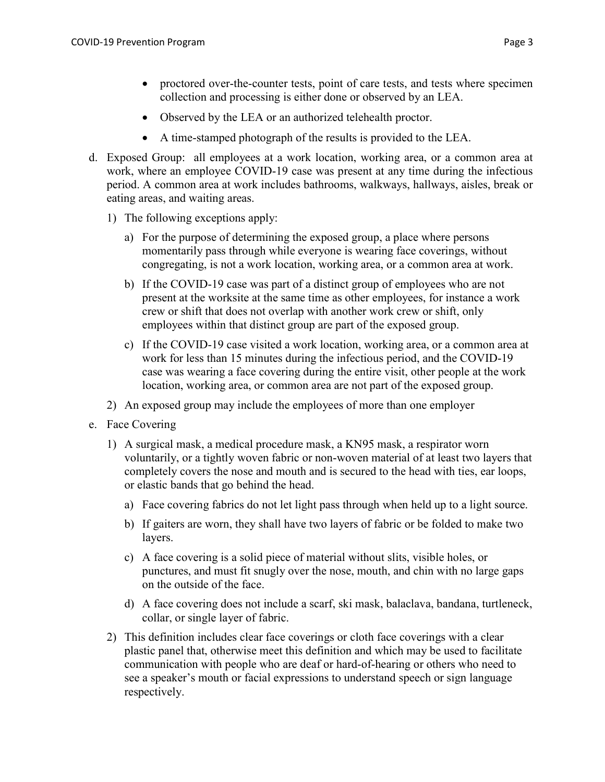- Observed by the LEA or an authorized telehealth proctor.
- A time-stamped photograph of the results is provided to the LEA.
- d. Exposed Group: all employees at a work location, working area, or a common area at work, where an employee COVID-19 case was present at any time during the infectious period. A common area at work includes bathrooms, walkways, hallways, aisles, break or eating areas, and waiting areas.
	- 1) The following exceptions apply:
		- a) For the purpose of determining the exposed group, a place where persons momentarily pass through while everyone is wearing face coverings, without congregating, is not a work location, working area, or a common area at work.
		- b) If the COVID-19 case was part of a distinct group of employees who are not present at the worksite at the same time as other employees, for instance a work crew or shift that does not overlap with another work crew or shift, only employees within that distinct group are part of the exposed group.
		- c) If the COVID-19 case visited a work location, working area, or a common area at work for less than 15 minutes during the infectious period, and the COVID-19 case was wearing a face covering during the entire visit, other people at the work location, working area, or common area are not part of the exposed group.
	- 2) An exposed group may include the employees of more than one employer
- e. Face Covering
	- 1) A surgical mask, a medical procedure mask, a KN95 mask, a respirator worn voluntarily, or a tightly woven fabric or non-woven material of at least two layers that completely covers the nose and mouth and is secured to the head with ties, ear loops, or elastic bands that go behind the head.
		- a) Face covering fabrics do not let light pass through when held up to a light source.
		- b) If gaiters are worn, they shall have two layers of fabric or be folded to make two layers.
		- c) A face covering is a solid piece of material without slits, visible holes, or punctures, and must fit snugly over the nose, mouth, and chin with no large gaps on the outside of the face.
		- d) A face covering does not include a scarf, ski mask, balaclava, bandana, turtleneck, collar, or single layer of fabric.
	- 2) This definition includes clear face coverings or cloth face coverings with a clear plastic panel that, otherwise meet this definition and which may be used to facilitate communication with people who are deaf or hard-of-hearing or others who need to see a speaker's mouth or facial expressions to understand speech or sign language respectively.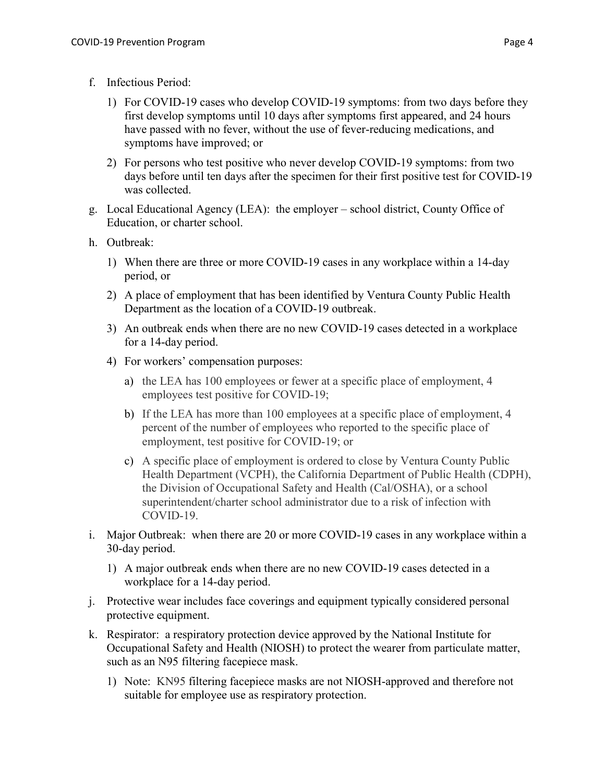- f. Infectious Period:
	- 1) For COVID-19 cases who develop COVID-19 symptoms: from two days before they first develop symptoms until 10 days after symptoms first appeared, and 24 hours have passed with no fever, without the use of fever-reducing medications, and symptoms have improved; or
	- 2) For persons who test positive who never develop COVID-19 symptoms: from two days before until ten days after the specimen for their first positive test for COVID-19 was collected.
- g. Local Educational Agency (LEA): the employer school district, County Office of Education, or charter school.
- h. Outbreak:
	- 1) When there are three or more COVID-19 cases in any workplace within a 14-day period, or
	- 2) A place of employment that has been identified by Ventura County Public Health Department as the location of a COVID-19 outbreak.
	- 3) An outbreak ends when there are no new COVID-19 cases detected in a workplace for a 14-day period.
	- 4) For workers' compensation purposes:
		- a) the LEA has 100 employees or fewer at a specific place of employment, 4 employees test positive for COVID-19;
		- b) If the LEA has more than 100 employees at a specific place of employment, 4 percent of the number of employees who reported to the specific place of employment, test positive for COVID-19; or
		- c) A specific place of employment is ordered to close by Ventura County Public Health Department (VCPH), the California Department of Public Health (CDPH), the Division of Occupational Safety and Health (Cal/OSHA), or a school superintendent/charter school administrator due to a risk of infection with COVID-19.
- i. Major Outbreak: when there are 20 or more COVID-19 cases in any workplace within a 30-day period.
	- 1) A major outbreak ends when there are no new COVID-19 cases detected in a workplace for a 14-day period.
- j. Protective wear includes face coverings and equipment typically considered personal protective equipment.
- k. Respirator: a respiratory protection device approved by the National Institute for Occupational Safety and Health (NIOSH) to protect the wearer from particulate matter, such as an N95 filtering facepiece mask.
	- 1) Note: KN95 filtering facepiece masks are not NIOSH-approved and therefore not suitable for employee use as respiratory protection.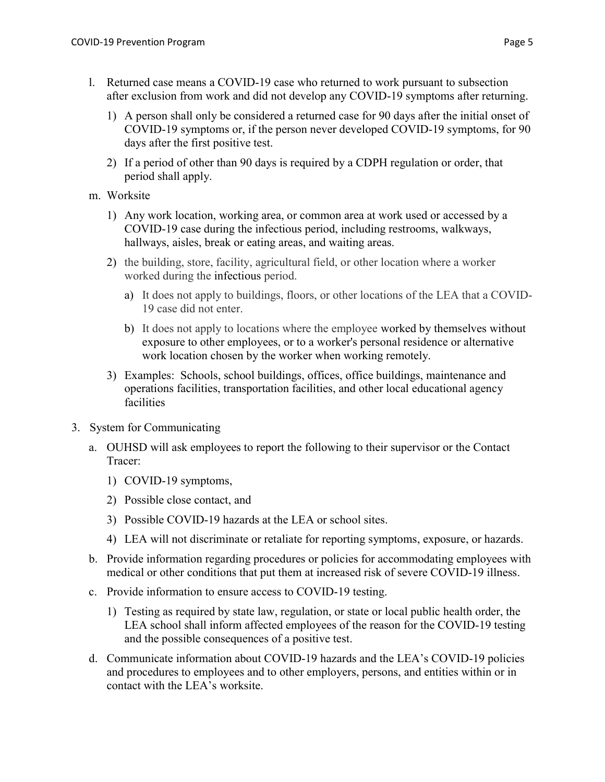- l. Returned case means a COVID-19 case who returned to work pursuant to subsection after exclusion from work and did not develop any COVID-19 symptoms after returning.
	- 1) A person shall only be considered a returned case for 90 days after the initial onset of COVID-19 symptoms or, if the person never developed COVID-19 symptoms, for 90 days after the first positive test.
	- 2) If a period of other than 90 days is required by a CDPH regulation or order, that period shall apply.
- m. Worksite
	- 1) Any work location, working area, or common area at work used or accessed by a COVID-19 case during the infectious period, including restrooms, walkways, hallways, aisles, break or eating areas, and waiting areas.
	- 2) the building, store, facility, agricultural field, or other location where a worker worked during the infectious period.
		- a) It does not apply to buildings, floors, or other locations of the LEA that a COVID-19 case did not enter.
		- b) It does not apply to locations where the employee worked by themselves without exposure to other employees, or to a worker's personal residence or alternative work location chosen by the worker when working remotely.
	- 3) Examples: Schools, school buildings, offices, office buildings, maintenance and operations facilities, transportation facilities, and other local educational agency facilities
- 3. System for Communicating
	- a. OUHSD will ask employees to report the following to their supervisor or the Contact Tracer:
		- 1) COVID-19 symptoms,
		- 2) Possible close contact, and
		- 3) Possible COVID-19 hazards at the LEA or school sites.
		- 4) LEA will not discriminate or retaliate for reporting symptoms, exposure, or hazards.
	- b. Provide information regarding procedures or policies for accommodating employees with medical or other conditions that put them at increased risk of severe COVID-19 illness.
	- c. Provide information to ensure access to COVID-19 testing.
		- 1) Testing as required by state law, regulation, or state or local public health order, the LEA school shall inform affected employees of the reason for the COVID-19 testing and the possible consequences of a positive test.
	- d. Communicate information about COVID-19 hazards and the LEA's COVID-19 policies and procedures to employees and to other employers, persons, and entities within or in contact with the LEA's worksite.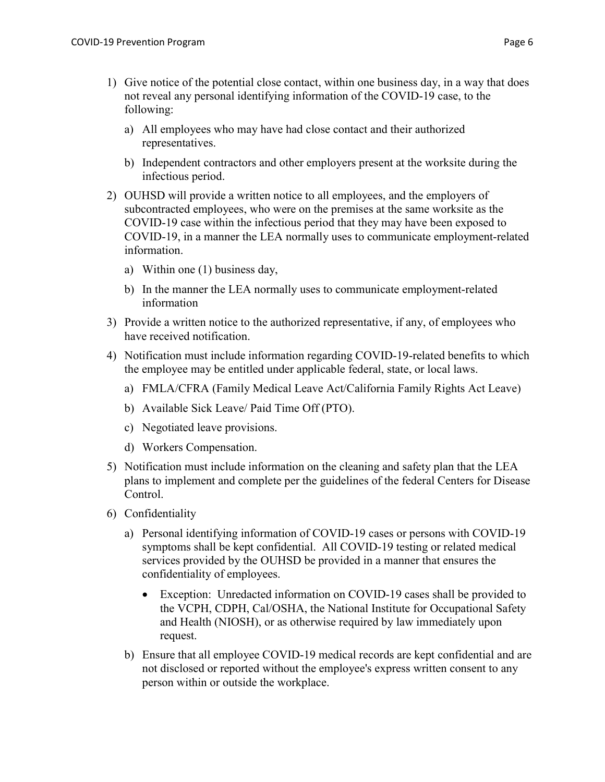- 1) Give notice of the potential close contact, within one business day, in a way that does not reveal any personal identifying information of the COVID-19 case, to the following:
	- a) All employees who may have had close contact and their authorized representatives.
	- b) Independent contractors and other employers present at the worksite during the infectious period.
- 2) OUHSD will provide a written notice to all employees, and the employers of subcontracted employees, who were on the premises at the same worksite as the COVID-19 case within the infectious period that they may have been exposed to COVID-19, in a manner the LEA normally uses to communicate employment-related information.
	- a) Within one (1) business day,
	- b) In the manner the LEA normally uses to communicate employment-related information
- 3) Provide a written notice to the authorized representative, if any, of employees who have received notification.
- 4) Notification must include information regarding COVID-19-related benefits to which the employee may be entitled under applicable federal, state, or local laws.
	- a) FMLA/CFRA (Family Medical Leave Act/California Family Rights Act Leave)
	- b) Available Sick Leave/ Paid Time Off (PTO).
	- c) Negotiated leave provisions.
	- d) Workers Compensation.
- 5) Notification must include information on the cleaning and safety plan that the LEA plans to implement and complete per the guidelines of the federal Centers for Disease Control.
- 6) Confidentiality
	- a) Personal identifying information of COVID-19 cases or persons with COVID-19 symptoms shall be kept confidential. All COVID-19 testing or related medical services provided by the OUHSD be provided in a manner that ensures the confidentiality of employees.
		- Exception: Unredacted information on COVID-19 cases shall be provided to the VCPH, CDPH, Cal/OSHA, the National Institute for Occupational Safety and Health (NIOSH), or as otherwise required by law immediately upon request.
	- b) Ensure that all employee COVID-19 medical records are kept confidential and are not disclosed or reported without the employee's express written consent to any person within or outside the workplace.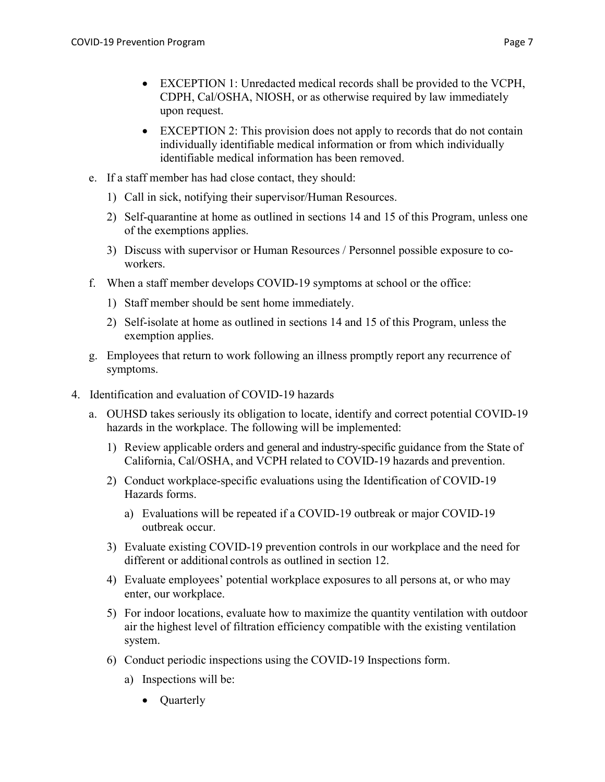- EXCEPTION 1: Unredacted medical records shall be provided to the VCPH, CDPH, Cal/OSHA, NIOSH, or as otherwise required by law immediately upon request.
- EXCEPTION 2: This provision does not apply to records that do not contain individually identifiable medical information or from which individually identifiable medical information has been removed.
- e. If a staff member has had close contact, they should:
	- 1) Call in sick, notifying their supervisor/Human Resources.
	- 2) Self-quarantine at home as outlined in sections 14 and 15 of this Program, unless one of the exemptions applies.
	- 3) Discuss with supervisor or Human Resources / Personnel possible exposure to coworkers.
- f. When a staff member develops COVID-19 symptoms at school or the office:
	- 1) Staff member should be sent home immediately.
	- 2) Self-isolate at home as outlined in sections 14 and 15 of this Program, unless the exemption applies.
- g. Employees that return to work following an illness promptly report any recurrence of symptoms.
- 4. Identification and evaluation of COVID-19 hazards
	- a. OUHSD takes seriously its obligation to locate, identify and correct potential COVID-19 hazards in the workplace. The following will be implemented:
		- 1) Review applicable orders and general and industry-specific guidance from the State of California, Cal/OSHA, and VCPH related to COVID-19 hazards and prevention.
		- 2) Conduct workplace-specific evaluations using the Identification of COVID-19 Hazards forms.
			- a) Evaluations will be repeated if a COVID-19 outbreak or major COVID-19 outbreak occur.
		- 3) Evaluate existing COVID-19 prevention controls in our workplace and the need for different or additional controls as outlined in section 12.
		- 4) Evaluate employees' potential workplace exposures to all persons at, or who may enter, our workplace.
		- 5) For indoor locations, evaluate how to maximize the quantity ventilation with outdoor air the highest level of filtration efficiency compatible with the existing ventilation system.
		- 6) Conduct periodic inspections using the COVID-19 Inspections form.
			- a) Inspections will be:
				- Quarterly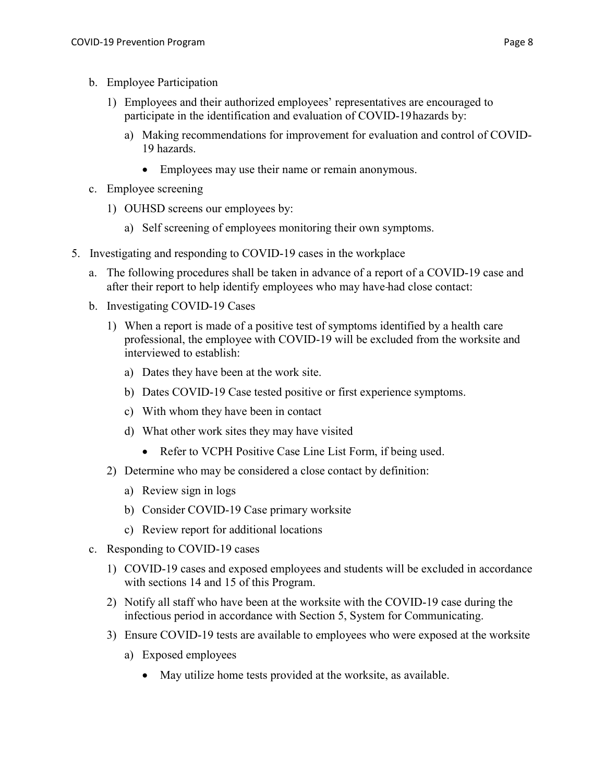- b. Employee Participation
	- 1) Employees and their authorized employees' representatives are encouraged to participate in the identification and evaluation of COVID-19 hazards by:
		- a) Making recommendations for improvement for evaluation and control of COVID-19 hazards.
			- Employees may use their name or remain anonymous.
- c. Employee screening
	- 1) OUHSD screens our employees by:
		- a) Self screening of employees monitoring their own symptoms.
- 5. Investigating and responding to COVID-19 cases in the workplace
	- a. The following procedures shall be taken in advance of a report of a COVID-19 case and after their report to help identify employees who may have had close contact:
	- b. Investigating COVID-19 Cases
		- 1) When a report is made of a positive test of symptoms identified by a health care professional, the employee with COVID-19 will be excluded from the worksite and interviewed to establish:
			- a) Dates they have been at the work site.
			- b) Dates COVID-19 Case tested positive or first experience symptoms.
			- c) With whom they have been in contact
			- d) What other work sites they may have visited
				- Refer to VCPH Positive Case Line List Form, if being used.
		- 2) Determine who may be considered a close contact by definition:
			- a) Review sign in logs
			- b) Consider COVID-19 Case primary worksite
			- c) Review report for additional locations
	- c. Responding to COVID-19 cases
		- 1) COVID-19 cases and exposed employees and students will be excluded in accordance with sections 14 and 15 of this Program.
		- 2) Notify all staff who have been at the worksite with the COVID-19 case during the infectious period in accordance with Section 5, System for Communicating.
		- 3) Ensure COVID-19 tests are available to employees who were exposed at the worksite
			- a) Exposed employees
				- May utilize home tests provided at the worksite, as available.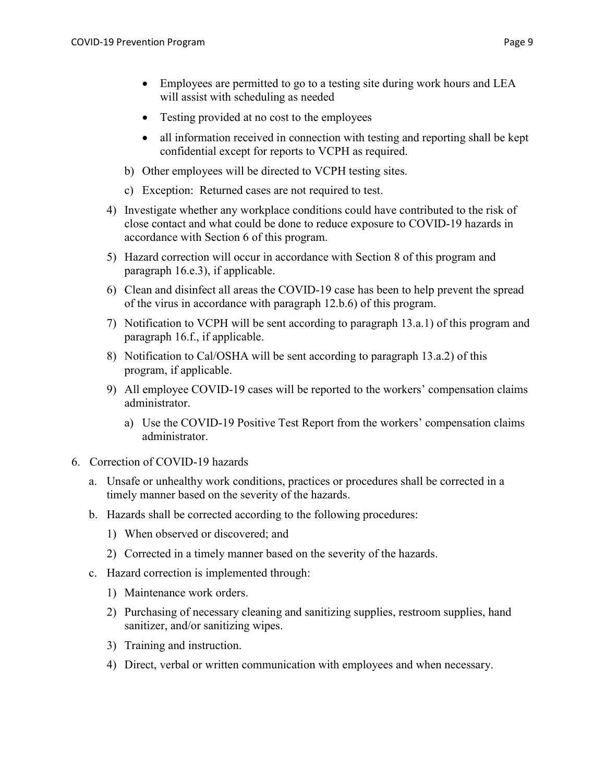- Testing provided at no cost to the employees
- all information received in connection with testing and reporting shall be kept confidential except for reports to VCPH as required.
- b) Other employees will be directed to VCPH testing sites.
- c) Exception: Returned cases are not required to test.
- 4) Investigate whether any workplace conditions could have contributed to the risk of close contact and what could be done to reduce exposure to COVID-19 hazards in accordance with Section 6 of this program.
- 5) Hazard correction will occur in accordance with Section 8 of this program and paragraph 16.e.3), if applicable.
- 6) Clean and disinfect all areas the COVID-19 case has been to help prevent the spread of the virus in accordance with paragraph 12.b.6) of this program.
- 7) Notification to VCPH will be sent according to paragraph 13.a.1) of this program and paragraph 16.f., if applicable.
- 8) Notification to Cal/OSHA will be sent according to paragraph 13.a.2) of this program, if applicable.
- 9) All employee COVID-19 cases will be reported to the workers' compensation claims administrator.
	- a) Use the COVID-19 Positive Test Report from the workers' compensation claims administrator.
- 6. Correction of COVID-19 hazards
	- a. Unsafe or unhealthy work conditions, practices or procedures shall be corrected in a timely manner based on the severity of the hazards.
	- b. Hazards shall be corrected according to the following procedures:
		- 1) When observed or discovered; and
		- 2) Corrected in a timely manner based on the severity of the hazards.
	- c. Hazard correction is implemented through:
		- 1) Maintenance work orders.
		- 2) Purchasing of necessary cleaning and sanitizing supplies, restroom supplies, hand sanitizer, and/or sanitizing wipes.
		- 3) Training and instruction.
		- 4) Direct, verbal or written communication with employees and when necessary.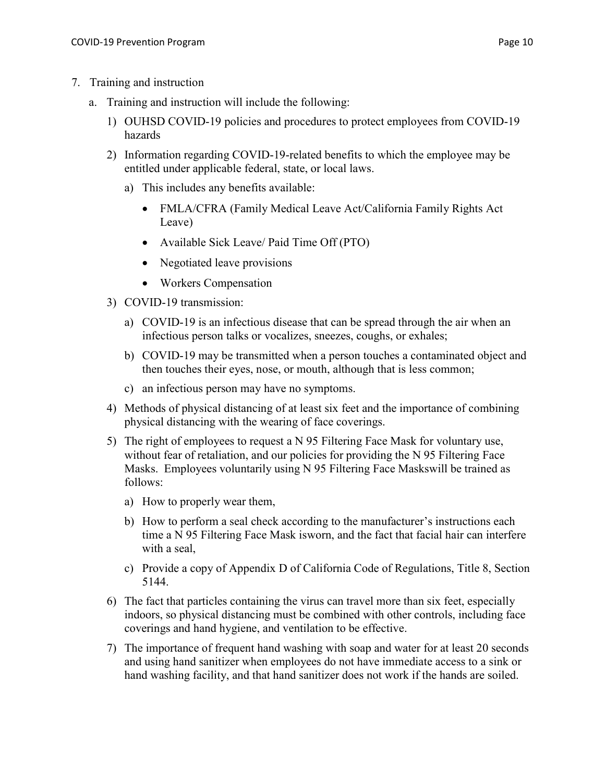- a. Training and instruction will include the following:
	- 1) OUHSD COVID-19 policies and procedures to protect employees from COVID-19 hazards
	- 2) Information regarding COVID-19-related benefits to which the employee may be entitled under applicable federal, state, or local laws.
		- a) This includes any benefits available:
			- FMLA/CFRA (Family Medical Leave Act/California Family Rights Act Leave)
			- Available Sick Leave/ Paid Time Off (PTO)
			- Negotiated leave provisions
			- Workers Compensation
	- 3) COVID-19 transmission:
		- a) COVID-19 is an infectious disease that can be spread through the air when an infectious person talks or vocalizes, sneezes, coughs, or exhales;
		- b) COVID-19 may be transmitted when a person touches a contaminated object and then touches their eyes, nose, or mouth, although that is less common;
		- c) an infectious person may have no symptoms.
	- 4) Methods of physical distancing of at least six feet and the importance of combining physical distancing with the wearing of face coverings.
	- 5) The right of employees to request a N 95 Filtering Face Mask for voluntary use, without fear of retaliation, and our policies for providing the N 95 Filtering Face Masks. Employees voluntarily using N 95 Filtering Face Masks will be trained as follows:
		- a) How to properly wear them,
		- b) How to perform a seal check according to the manufacturer's instructions each time a N 95 Filtering Face Mask is worn, and the fact that facial hair can interfere with a seal,
		- c) Provide a copy of Appendix D of California Code of Regulations, Title 8, Section 5144.
	- 6) The fact that particles containing the virus can travel more than six feet, especially indoors, so physical distancing must be combined with other controls, including face coverings and hand hygiene, and ventilation to be effective.
	- 7) The importance of frequent hand washing with soap and water for at least 20 seconds and using hand sanitizer when employees do not have immediate access to a sink or hand washing facility, and that hand sanitizer does not work if the hands are soiled.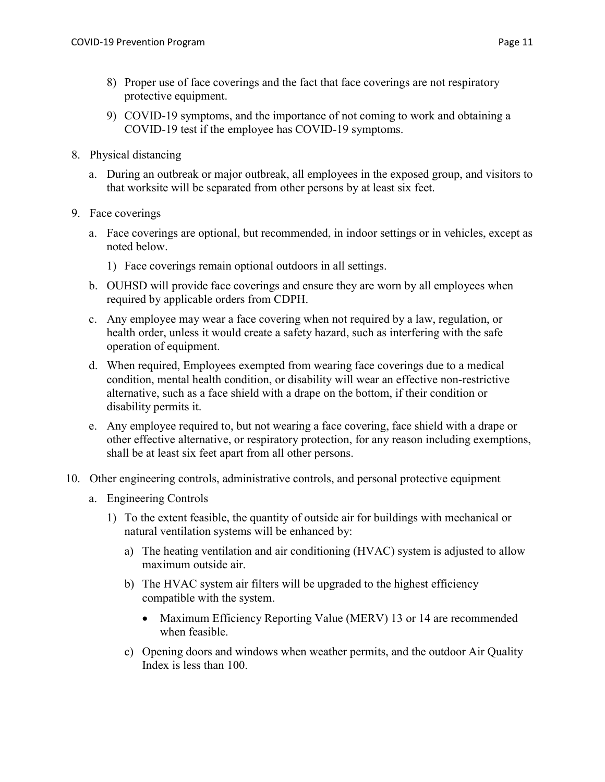- 8) Proper use of face coverings and the fact that face coverings are not respiratory protective equipment.
- 9) COVID-19 symptoms, and the importance of not coming to work and obtaining a COVID-19 test if the employee has COVID-19 symptoms.
- 8. Physical distancing
	- a. During an outbreak or major outbreak, all employees in the exposed group, and visitors to that worksite will be separated from other persons by at least six feet.
- 9. Face coverings
	- a. Face coverings are optional, but recommended, in indoor settings or in vehicles, except as noted below.
		- 1) Face coverings remain optional outdoors in all settings.
	- b. OUHSD will provide face coverings and ensure they are worn by all employees when required by applicable orders from CDPH.
	- c. Any employee may wear a face covering when not required by a law, regulation, or health order, unless it would create a safety hazard, such as interfering with the safe operation of equipment.
	- d. When required, Employees exempted from wearing face coverings due to a medical condition, mental health condition, or disability will wear an effective non-restrictive alternative, such as a face shield with a drape on the bottom, if their condition or disability permits it.
	- e. Any employee required to, but not wearing a face covering, face shield with a drape or other effective alternative, or respiratory protection, for any reason including exemptions, shall be at least six feet apart from all other persons.
- 10. Other engineering controls, administrative controls, and personal protective equipment
	- a. Engineering Controls
		- 1) To the extent feasible, the quantity of outside air for buildings with mechanical or natural ventilation systems will be enhanced by:
			- a) The heating ventilation and air conditioning (HVAC) system is adjusted to allow maximum outside air.
			- b) The HVAC system air filters will be upgraded to the highest efficiency compatible with the system.
				- Maximum Efficiency Reporting Value (MERV) 13 or 14 are recommended when feasible.
			- c) Opening doors and windows when weather permits, and the outdoor Air Quality Index is less than 100.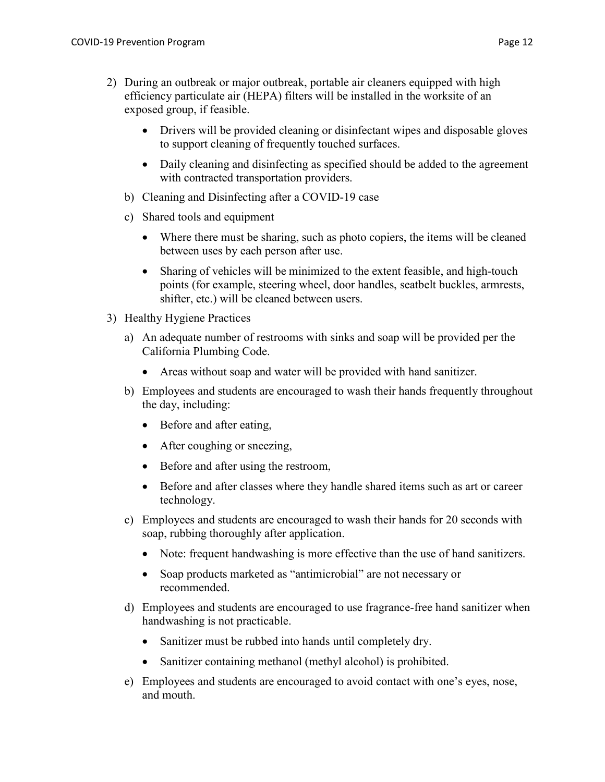- 2) During an outbreak or major outbreak, portable air cleaners equipped with high efficiency particulate air (HEPA) filters will be installed in the worksite of an exposed group, if feasible.
	- Drivers will be provided cleaning or disinfectant wipes and disposable gloves to support cleaning of frequently touched surfaces.
	- Daily cleaning and disinfecting as specified should be added to the agreement with contracted transportation providers.
	- b) Cleaning and Disinfecting after a COVID-19 case
	- c) Shared tools and equipment
		- Where there must be sharing, such as photo copiers, the items will be cleaned between uses by each person after use.
		- Sharing of vehicles will be minimized to the extent feasible, and high-touch points (for example, steering wheel, door handles, seatbelt buckles, armrests, shifter, etc.) will be cleaned between users.
- 3) Healthy Hygiene Practices
	- a) An adequate number of restrooms with sinks and soap will be provided per the California Plumbing Code.
		- Areas without soap and water will be provided with hand sanitizer.
	- b) Employees and students are encouraged to wash their hands frequently throughout the day, including:
		- Before and after eating,
		- After coughing or sneezing,
		- Before and after using the restroom,
		- Before and after classes where they handle shared items such as art or career technology.
	- c) Employees and students are encouraged to wash their hands for 20 seconds with soap, rubbing thoroughly after application.
		- Note: frequent handwashing is more effective than the use of hand sanitizers.
		- Soap products marketed as "antimicrobial" are not necessary or recommended.
	- d) Employees and students are encouraged to use fragrance-free hand sanitizer when handwashing is not practicable.
		- Sanitizer must be rubbed into hands until completely dry.
		- Sanitizer containing methanol (methyl alcohol) is prohibited.
	- e) Employees and students are encouraged to avoid contact with one's eyes, nose, and mouth.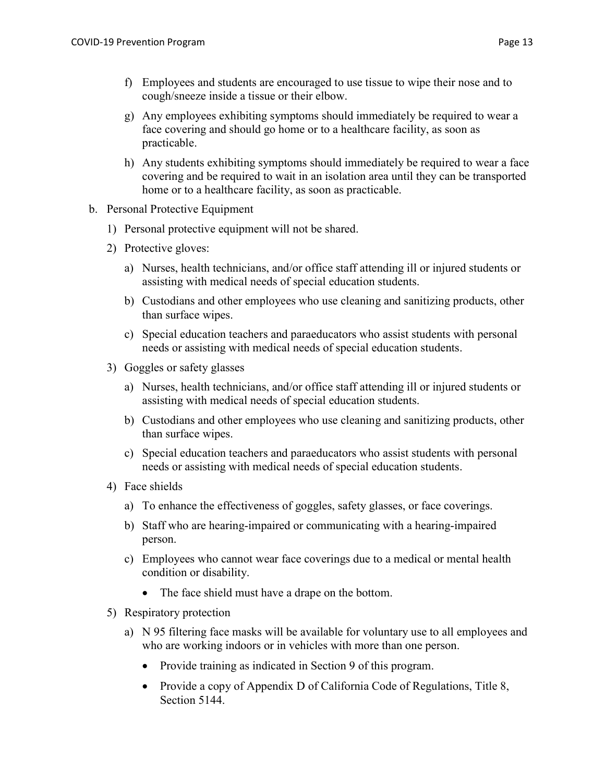- f) Employees and students are encouraged to use tissue to wipe their nose and to cough/sneeze inside a tissue or their elbow.
- g) Any employees exhibiting symptoms should immediately be required to wear a face covering and should go home or to a healthcare facility, as soon as practicable.
- h) Any students exhibiting symptoms should immediately be required to wear a face covering and be required to wait in an isolation area until they can be transported home or to a healthcare facility, as soon as practicable.
- b. Personal Protective Equipment
	- 1) Personal protective equipment will not be shared.
	- 2) Protective gloves:
		- a) Nurses, health technicians, and/or office staff attending ill or injured students or assisting with medical needs of special education students.
		- b) Custodians and other employees who use cleaning and sanitizing products, other than surface wipes.
		- c) Special education teachers and paraeducators who assist students with personal needs or assisting with medical needs of special education students.
	- 3) Goggles or safety glasses
		- a) Nurses, health technicians, and/or office staff attending ill or injured students or assisting with medical needs of special education students.
		- b) Custodians and other employees who use cleaning and sanitizing products, other than surface wipes.
		- c) Special education teachers and paraeducators who assist students with personal needs or assisting with medical needs of special education students.
	- 4) Face shields
		- a) To enhance the effectiveness of goggles, safety glasses, or face coverings.
		- b) Staff who are hearing-impaired or communicating with a hearing-impaired person.
		- c) Employees who cannot wear face coverings due to a medical or mental health condition or disability.
			- The face shield must have a drape on the bottom.
	- 5) Respiratory protection
		- a) N 95 filtering face masks will be available for voluntary use to all employees and who are working indoors or in vehicles with more than one person.
			- Provide training as indicated in Section 9 of this program.
			- Provide a copy of Appendix D of California Code of Regulations, Title 8, Section 5144.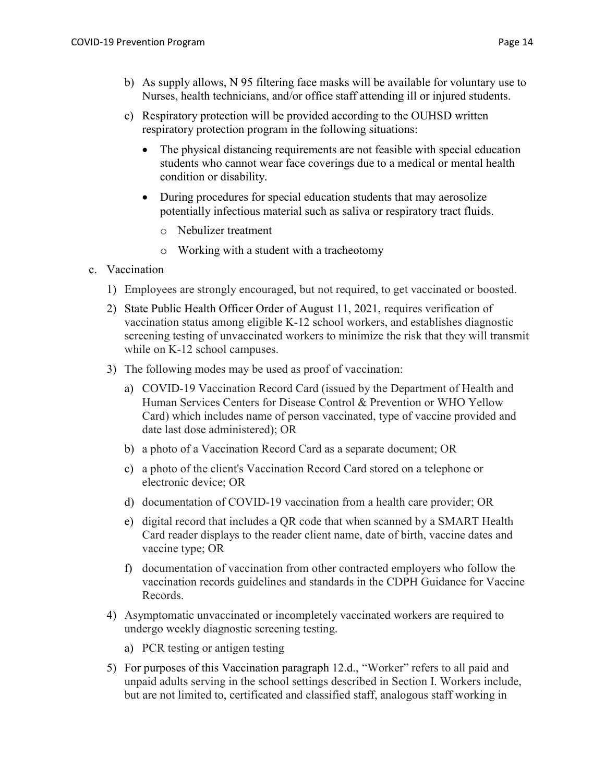- b) As supply allows, N 95 filtering face masks will be available for voluntary use to Nurses, health technicians, and/or office staff attending ill or injured students.
- c) Respiratory protection will be provided according to the OUHSD written respiratory protection program in the following situations:
	- The physical distancing requirements are not feasible with special education students who cannot wear face coverings due to a medical or mental health condition or disability.
	- During procedures for special education students that may aerosolize potentially infectious material such as saliva or respiratory tract fluids.
		- o Nebulizer treatment
		- o Working with a student with a tracheotomy
- c. Vaccination
	- 1) Employees are strongly encouraged, but not required, to get vaccinated or boosted.
	- 2) State Public Health Officer Order of August 11, 2021, requires verification of vaccination status among eligible K-12 school workers, and establishes diagnostic screening testing of unvaccinated workers to minimize the risk that they will transmit while on K-12 school campuses.
	- 3) The following modes may be used as proof of vaccination:
		- a) COVID-19 Vaccination Record Card (issued by the Department of Health and Human Services Centers for Disease Control & Prevention or WHO Yellow Card) which includes name of person vaccinated, type of vaccine provided and date last dose administered); OR
		- b) a photo of a Vaccination Record Card as a separate document; OR
		- c) a photo of the client's Vaccination Record Card stored on a telephone or electronic device; OR
		- d) documentation of COVID-19 vaccination from a health care provider; OR
		- e) digital record that includes a QR code that when scanned by a SMART Health Card reader displays to the reader client name, date of birth, vaccine dates and vaccine type; OR
		- f) documentation of vaccination from other contracted employers who follow the vaccination records guidelines and standards in the CDPH Guidance for Vaccine Records.
	- 4) Asymptomatic unvaccinated or incompletely vaccinated workers are required to undergo weekly diagnostic screening testing.
		- a) PCR testing or antigen testing
	- 5) For purposes of this Vaccination paragraph 12.d., "Worker" refers to all paid and unpaid adults serving in the school settings described in Section I. Workers include, but are not limited to, certificated and classified staff, analogous staff working in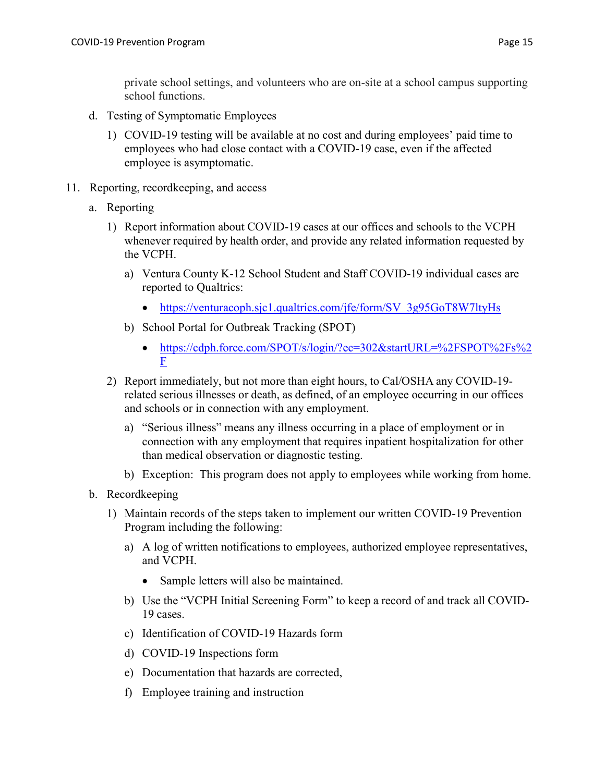private school settings, and volunteers who are on-site at a school campus supporting school functions.

- d. Testing of Symptomatic Employees
	- 1) COVID-19 testing will be available at no cost and during employees' paid time to employees who had close contact with a COVID-19 case, even if the affected employee is asymptomatic.
- 11. Reporting, recordkeeping, and access
	- a. Reporting
		- 1) Report information about COVID-19 cases at our offices and schools to the VCPH whenever required by health order, and provide any related information requested by the VCPH.
			- a) Ventura County K-12 School Student and Staff COVID-19 individual cases are reported to Qualtrics:
				- https://venturacoph.sjc1.qualtrics.com/jfe/form/SV\_3g95GoT8W7ltyHs
			- b) School Portal for Outbreak Tracking (SPOT)
				- https://cdph.force.com/SPOT/s/login/?ec=302&startURL=%2FSPOT%2Fs%2 F
		- 2) Report immediately, but not more than eight hours, to Cal/OSHA any COVID-19 related serious illnesses or death, as defined, of an employee occurring in our offices and schools or in connection with any employment.
			- a) "Serious illness" means any illness occurring in a place of employment or in connection with any employment that requires inpatient hospitalization for other than medical observation or diagnostic testing.
			- b) Exception: This program does not apply to employees while working from home.
	- b. Recordkeeping
		- 1) Maintain records of the steps taken to implement our written COVID-19 Prevention Program including the following:
			- a) A log of written notifications to employees, authorized employee representatives, and VCPH.
				- Sample letters will also be maintained.
			- b) Use the "VCPH Initial Screening Form" to keep a record of and track all COVID-19 cases.
			- c) Identification of COVID-19 Hazards form
			- d) COVID-19 Inspections form
			- e) Documentation that hazards are corrected,
			- f) Employee training and instruction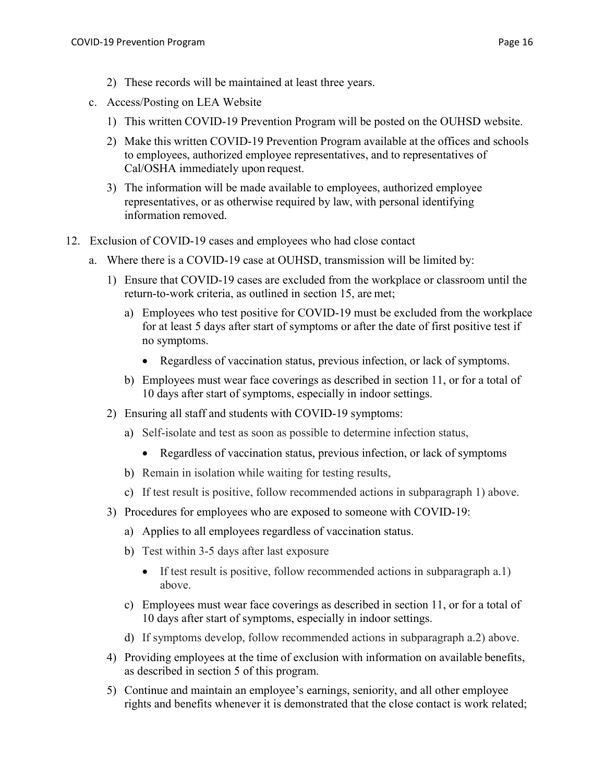- c. Access/Posting on LEA Website
	- 1) This written COVID-19 Prevention Program will be posted on the OUHSD website.
	- 2) Make this written COVID-19 Prevention Program available at the offices and schools to employees, authorized employee representatives, and to representatives of Cal/OSHA immediately upon request.
	- 3) The information will be made available to employees, authorized employee representatives, or as otherwise required by law, with personal identifying information removed.
- 12. Exclusion of COVID-19 cases and employees who had close contact
	- a. Where there is a COVID-19 case at OUHSD, transmission will be limited by:
		- 1) Ensure that COVID-19 cases are excluded from the workplace or classroom until the return-to-work criteria, as outlined in section 15, are met;
			- a) Employees who test positive for COVID-19 must be excluded from the workplace for at least 5 days after start of symptoms or after the date of first positive test if no symptoms.
				- Regardless of vaccination status, previous infection, or lack of symptoms.
			- b) Employees must wear face coverings as described in section 11, or for a total of 10 days after start of symptoms, especially in indoor settings.
		- 2) Ensuring all staff and students with COVID-19 symptoms:
			- a) Self-isolate and test as soon as possible to determine infection status,
				- Regardless of vaccination status, previous infection, or lack of symptoms
			- b) Remain in isolation while waiting for testing results,
			- c) If test result is positive, follow recommended actions in subparagraph 1) above.
		- 3) Procedures for employees who are exposed to someone with COVID-19:
			- a) Applies to all employees regardless of vaccination status.
			- b) Test within 3-5 days after last exposure
				- If test result is positive, follow recommended actions in subparagraph a.1) above.
			- c) Employees must wear face coverings as described in section 11, or for a total of 10 days after start of symptoms, especially in indoor settings.
			- d) If symptoms develop, follow recommended actions in subparagraph a.2) above.
		- 4) Providing employees at the time of exclusion with information on available benefits, as described in section 5 of this program.
		- 5) Continue and maintain an employee's earnings, seniority, and all other employee rights and benefits whenever it is demonstrated that the close contact is work related;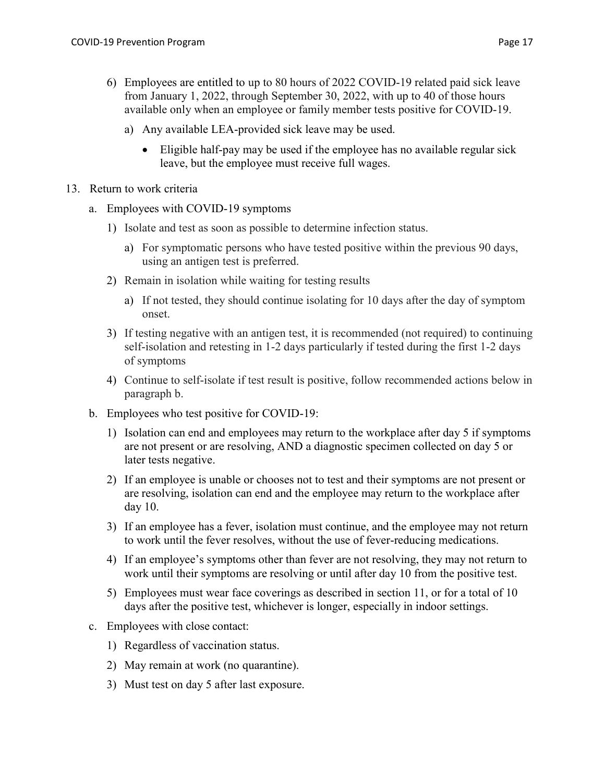- 6) Employees are entitled to up to 80 hours of 2022 COVID-19 related paid sick leave from January 1, 2022, through September 30, 2022, with up to 40 of those hours available only when an employee or family member tests positive for COVID-19.
	- a) Any available LEA-provided sick leave may be used.
		- Eligible half-pay may be used if the employee has no available regular sick leave, but the employee must receive full wages.
- 13. Return to work criteria
	- a. Employees with COVID-19 symptoms
		- 1) Isolate and test as soon as possible to determine infection status.
			- a) For symptomatic persons who have tested positive within the previous 90 days, using an antigen test is preferred.
		- 2) Remain in isolation while waiting for testing results
			- a) If not tested, they should continue isolating for 10 days after the day of symptom onset.
		- 3) If testing negative with an antigen test, it is recommended (not required) to continuing self-isolation and retesting in 1-2 days particularly if tested during the first 1-2 days of symptoms
		- 4) Continue to self-isolate if test result is positive, follow recommended actions below in paragraph b.
	- b. Employees who test positive for COVID-19:
		- 1) Isolation can end and employees may return to the workplace after day 5 if symptoms are not present or are resolving, AND a diagnostic specimen collected on day 5 or later tests negative.
		- 2) If an employee is unable or chooses not to test and their symptoms are not present or are resolving, isolation can end and the employee may return to the workplace after day 10.
		- 3) If an employee has a fever, isolation must continue, and the employee may not return to work until the fever resolves, without the use of fever-reducing medications.
		- 4) If an employee's symptoms other than fever are not resolving, they may not return to work until their symptoms are resolving or until after day 10 from the positive test.
		- 5) Employees must wear face coverings as described in section 11, or for a total of 10 days after the positive test, whichever is longer, especially in indoor settings.
	- c. Employees with close contact:
		- 1) Regardless of vaccination status.
		- 2) May remain at work (no quarantine).
		- 3) Must test on day 5 after last exposure.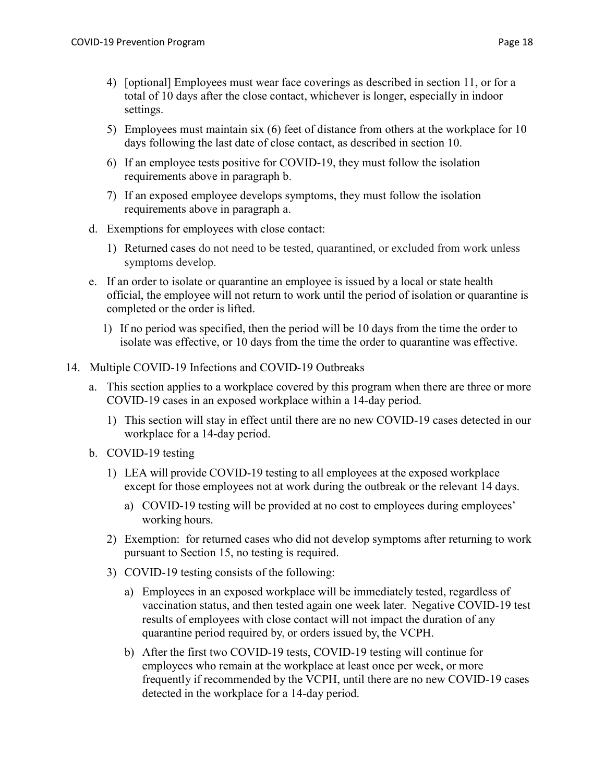- 4) [optional] Employees must wear face coverings as described in section 11, or for a total of 10 days after the close contact, whichever is longer, especially in indoor settings.
- 5) Employees must maintain six (6) feet of distance from others at the workplace for 10 days following the last date of close contact, as described in section 10.
- 6) If an employee tests positive for COVID-19, they must follow the isolation requirements above in paragraph b.
- 7) If an exposed employee develops symptoms, they must follow the isolation requirements above in paragraph a.
- d. Exemptions for employees with close contact:
	- 1) Returned cases do not need to be tested, quarantined, or excluded from work unless symptoms develop.
- e. If an order to isolate or quarantine an employee is issued by a local or state health official, the employee will not return to work until the period of isolation or quarantine is completed or the order is lifted.
	- 1) If no period was specified, then the period will be 10 days from the time the order to isolate was effective, or 10 days from the time the order to quarantine was effective.
- 14. Multiple COVID-19 Infections and COVID-19 Outbreaks
	- a. This section applies to a workplace covered by this program when there are three or more COVID-19 cases in an exposed workplace within a 14-day period.
		- 1) This section will stay in effect until there are no new COVID-19 cases detected in our workplace for a 14-day period.
	- b. COVID-19 testing
		- 1) LEA will provide COVID-19 testing to all employees at the exposed workplace except for those employees not at work during the outbreak or the relevant 14 days.
			- a) COVID-19 testing will be provided at no cost to employees during employees' working hours.
		- 2) Exemption: for returned cases who did not develop symptoms after returning to work pursuant to Section 15, no testing is required.
		- 3) COVID-19 testing consists of the following:
			- a) Employees in an exposed workplace will be immediately tested, regardless of vaccination status, and then tested again one week later. Negative COVID-19 test results of employees with close contact will not impact the duration of any quarantine period required by, or orders issued by, the VCPH.
			- b) After the first two COVID-19 tests, COVID-19 testing will continue for employees who remain at the workplace at least once per week, or more frequently if recommended by the VCPH, until there are no new COVID-19 cases detected in the workplace for a 14-day period.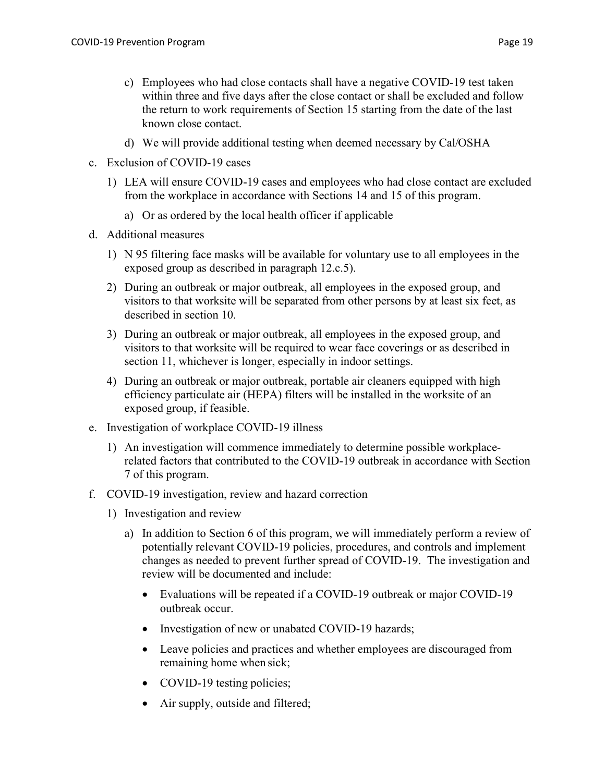- c) Employees who had close contacts shall have a negative COVID-19 test taken within three and five days after the close contact or shall be excluded and follow the return to work requirements of Section 15 starting from the date of the last known close contact.
- d) We will provide additional testing when deemed necessary by Cal/OSHA
- c. Exclusion of COVID-19 cases
	- 1) LEA will ensure COVID-19 cases and employees who had close contact are excluded from the workplace in accordance with Sections 14 and 15 of this program.
		- a) Or as ordered by the local health officer if applicable
- d. Additional measures
	- 1) N 95 filtering face masks will be available for voluntary use to all employees in the exposed group as described in paragraph 12.c.5).
	- 2) During an outbreak or major outbreak, all employees in the exposed group, and visitors to that worksite will be separated from other persons by at least six feet, as described in section 10.
	- 3) During an outbreak or major outbreak, all employees in the exposed group, and visitors to that worksite will be required to wear face coverings or as described in section 11, whichever is longer, especially in indoor settings.
	- 4) During an outbreak or major outbreak, portable air cleaners equipped with high efficiency particulate air (HEPA) filters will be installed in the worksite of an exposed group, if feasible.
- e. Investigation of workplace COVID-19 illness
	- 1) An investigation will commence immediately to determine possible workplacerelated factors that contributed to the COVID-19 outbreak in accordance with Section 7 of this program.
- f. COVID-19 investigation, review and hazard correction
	- 1) Investigation and review
		- a) In addition to Section 6 of this program, we will immediately perform a review of potentially relevant COVID-19 policies, procedures, and controls and implement changes as needed to prevent further spread of COVID-19. The investigation and review will be documented and include:
			- Evaluations will be repeated if a COVID-19 outbreak or major COVID-19 outbreak occur.
			- Investigation of new or unabated COVID-19 hazards;
			- Leave policies and practices and whether employees are discouraged from remaining home when sick;
			- COVID-19 testing policies;
			- Air supply, outside and filtered;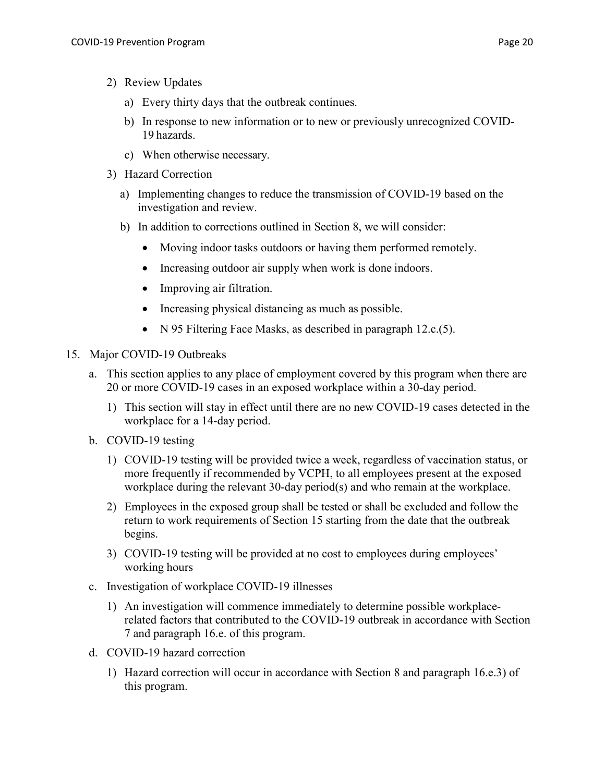- 2) Review Updates
	- a) Every thirty days that the outbreak continues.
	- b) In response to new information or to new or previously unrecognized COVID-19 hazards.
	- c) When otherwise necessary.
- 3) Hazard Correction
	- a) Implementing changes to reduce the transmission of COVID-19 based on the investigation and review.
	- b) In addition to corrections outlined in Section 8, we will consider:
		- Moving indoor tasks outdoors or having them performed remotely.
		- Increasing outdoor air supply when work is done indoors.
		- Improving air filtration.
		- Increasing physical distancing as much as possible.
		- N 95 Filtering Face Masks, as described in paragraph 12.c.(5).
- 15. Major COVID-19 Outbreaks
	- a. This section applies to any place of employment covered by this program when there are 20 or more COVID-19 cases in an exposed workplace within a 30-day period.
		- 1) This section will stay in effect until there are no new COVID-19 cases detected in the workplace for a 14-day period.
	- b. COVID-19 testing
		- 1) COVID-19 testing will be provided twice a week, regardless of vaccination status, or more frequently if recommended by VCPH, to all employees present at the exposed workplace during the relevant 30-day period(s) and who remain at the workplace.
		- 2) Employees in the exposed group shall be tested or shall be excluded and follow the return to work requirements of Section 15 starting from the date that the outbreak begins.
		- 3) COVID-19 testing will be provided at no cost to employees during employees' working hours
	- c. Investigation of workplace COVID-19 illnesses
		- 1) An investigation will commence immediately to determine possible workplacerelated factors that contributed to the COVID-19 outbreak in accordance with Section 7 and paragraph 16.e. of this program.
	- d. COVID-19 hazard correction
		- 1) Hazard correction will occur in accordance with Section 8 and paragraph 16.e.3) of this program.